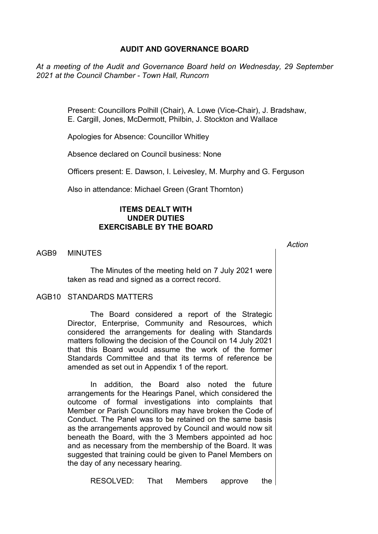# **AUDIT AND GOVERNANCE BOARD**

*At a meeting of the Audit and Governance Board held on Wednesday, 29 September 2021 at the Council Chamber - Town Hall, Runcorn*

> Present: Councillors Polhill (Chair), A. Lowe (Vice-Chair), J. Bradshaw, E. Cargill, Jones, McDermott, Philbin, J. Stockton and Wallace

Apologies for Absence: Councillor Whitley

Absence declared on Council business: None

Officers present: E. Dawson, I. Leivesley, M. Murphy and G. Ferguson

*Action*

Also in attendance: Michael Green (Grant Thornton)

## **ITEMS DEALT WITH UNDER DUTIES EXERCISABLE BY THE BOARD**

AGB9 MINUTES

The Minutes of the meeting held on 7 July 2021 were taken as read and signed as a correct record.

### AGB10 STANDARDS MATTERS

The Board considered a report of the Strategic Director, Enterprise, Community and Resources, which considered the arrangements for dealing with Standards matters following the decision of the Council on 14 July 2021 that this Board would assume the work of the former Standards Committee and that its terms of reference be amended as set out in Appendix 1 of the report.

In addition, the Board also noted the future arrangements for the Hearings Panel, which considered the outcome of formal investigations into complaints that Member or Parish Councillors may have broken the Code of Conduct. The Panel was to be retained on the same basis as the arrangements approved by Council and would now sit beneath the Board, with the 3 Members appointed ad hoc and as necessary from the membership of the Board. It was suggested that training could be given to Panel Members on the day of any necessary hearing.

RESOLVED: That Members approve the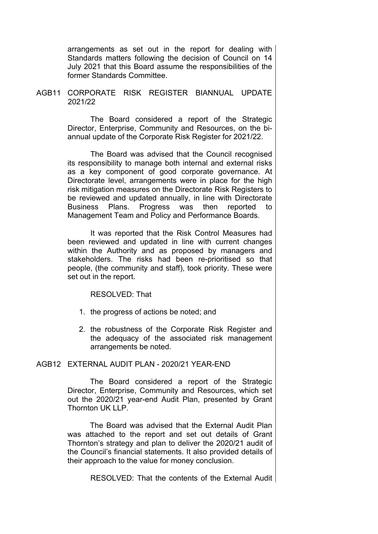arrangements as set out in the report for dealing with Standards matters following the decision of Council on 14 July 2021 that this Board assume the responsibilities of the former Standards Committee.

AGB11 CORPORATE RISK REGISTER BIANNUAL UPDATE 2021/22

> The Board considered a report of the Strategic Director, Enterprise, Community and Resources, on the biannual update of the Corporate Risk Register for 2021/22.

> The Board was advised that the Council recognised its responsibility to manage both internal and external risks as a key component of good corporate governance. At Directorate level, arrangements were in place for the high risk mitigation measures on the Directorate Risk Registers to be reviewed and updated annually, in line with Directorate Business Plans. Progress was then reported to Management Team and Policy and Performance Boards.

> It was reported that the Risk Control Measures had been reviewed and updated in line with current changes within the Authority and as proposed by managers and stakeholders. The risks had been re-prioritised so that people, (the community and staff), took priority. These were set out in the report.

> > RESOLVED: That

- 1. the progress of actions be noted; and
- 2. the robustness of the Corporate Risk Register and the adequacy of the associated risk management arrangements be noted.

# AGB12 EXTERNAL AUDIT PLAN - 2020/21 YEAR-END

The Board considered a report of the Strategic Director, Enterprise, Community and Resources, which set out the 2020/21 year-end Audit Plan, presented by Grant Thornton UK LLP.

The Board was advised that the External Audit Plan was attached to the report and set out details of Grant Thornton's strategy and plan to deliver the 2020/21 audit of the Council's financial statements. It also provided details of their approach to the value for money conclusion.

RESOLVED: That the contents of the External Audit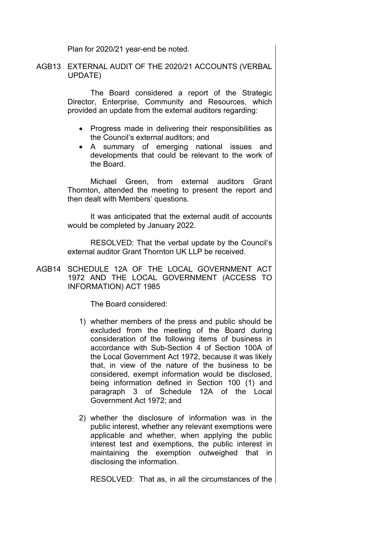Plan for 2020/21 year-end be noted.

AGB13 EXTERNAL AUDIT OF THE 2020/21 ACCOUNTS (VERBAL UPDATE)

> The Board considered a report of the Strategic Director, Enterprise, Community and Resources, which provided an update from the external auditors regarding:

- Progress made in delivering their responsibilities as the Council's external auditors; and
- A summary of emerging national issues and developments that could be relevant to the work of the Board.

Michael Green, from external auditors Grant Thornton, attended the meeting to present the report and then dealt with Members' questions.

It was anticipated that the external audit of accounts would be completed by January 2022.

RESOLVED: That the verbal update by the Council's external auditor Grant Thornton UK LLP be received.

AGB14 SCHEDULE 12A OF THE LOCAL GOVERNMENT ACT 1972 AND THE LOCAL GOVERNMENT (ACCESS TO INFORMATION) ACT 1985

The Board considered:

- 1) whether members of the press and public should be excluded from the meeting of the Board during consideration of the following items of business in accordance with Sub-Section 4 of Section 100A of the Local Government Act 1972, because it was likely that, in view of the nature of the business to be considered, exempt information would be disclosed, being information defined in Section 100 (1) and paragraph 3 of Schedule 12A of the Local Government Act 1972; and
- 2) whether the disclosure of information was in the public interest, whether any relevant exemptions were applicable and whether, when applying the public interest test and exemptions, the public interest in maintaining the exemption outweighed that in disclosing the information.

RESOLVED: That as, in all the circumstances of the